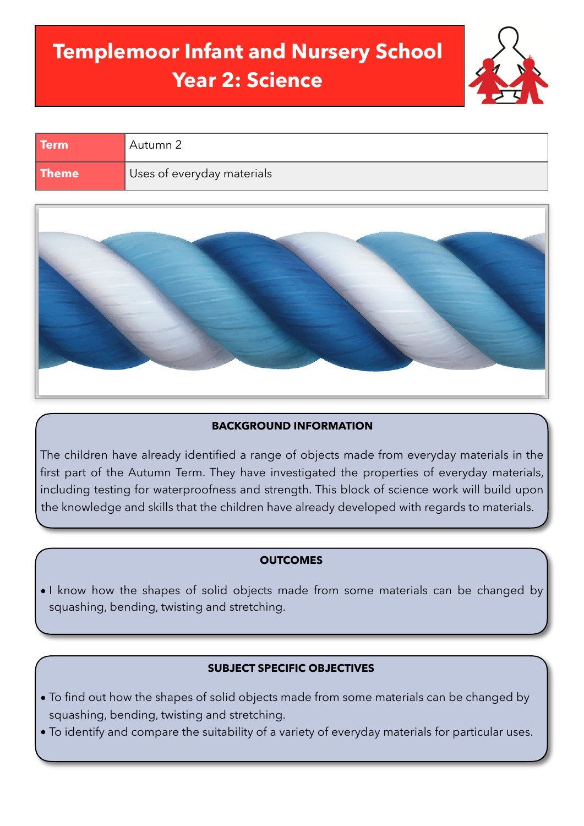# **Templemoor Infant and Nursery School Year 2: Science**



| <b>Term</b>  | Autumn 2                   |
|--------------|----------------------------|
| <b>Theme</b> | Uses of everyday materials |



# **BACKGROUND INFORMATION**

The children have already identified a range of objects made from everyday materials in the first part of the Autumn Term. They have investigated the properties of everyday materials, including testing for waterproofness and strength. This block of science work will build upon the knowledge and skills that the children have already developed with regards to materials.

## **OUTCOMES**

• I know how the shapes of solid objects made from some materials can be changed by squashing, bending, twisting and stretching.

## **SUBJECT SPECIFIC OBJECTIVES**

- To find out how the shapes of solid objects made from some materials can be changed by squashing, bending, twisting and stretching.
- To identify and compare the suitability of a variety of everyday materials for particular uses.